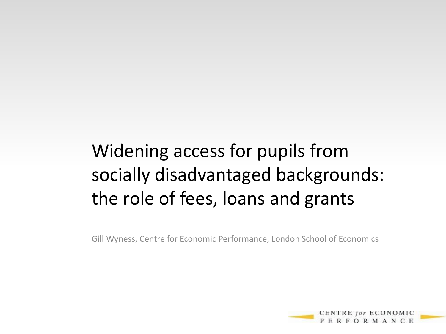## Widening access for pupils from socially disadvantaged backgrounds: the role of fees, loans and grants

Gill Wyness, Centre for Economic Performance, London School of Economics

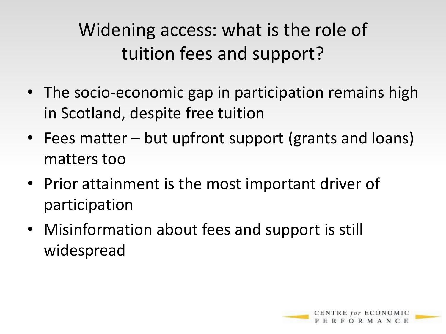Widening access: what is the role of tuition fees and support?

- The socio-economic gap in participation remains high in Scotland, despite free tuition
- Fees matter but upfront support (grants and loans) matters too
- Prior attainment is the most important driver of participation
- Misinformation about fees and support is still widespread

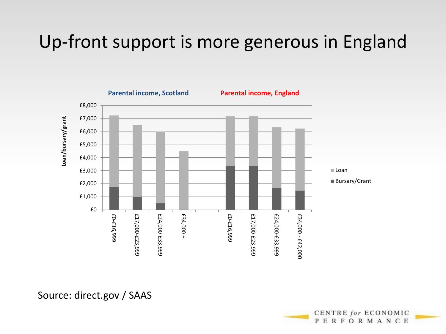#### Up-front support is more generous in England





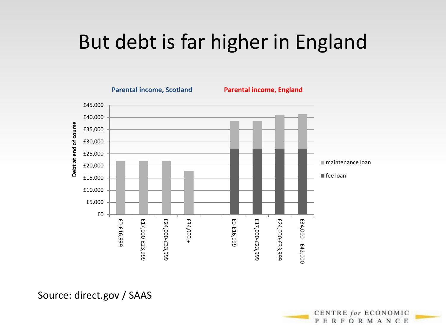## But debt is far higher in England



Source: direct.gov / SAAS

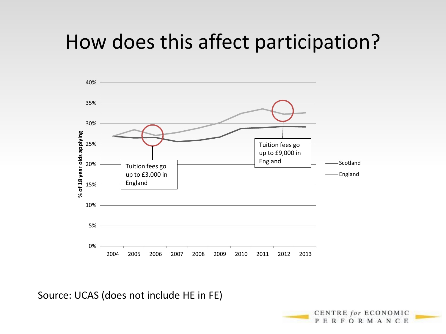## How does this affect participation?



Source: UCAS (does not include HE in FE)

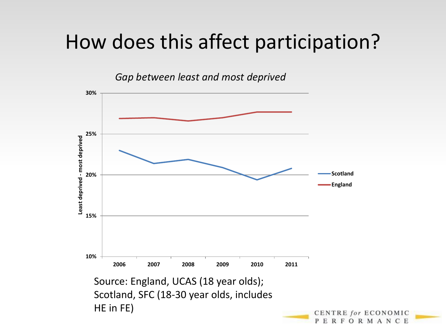## How does this affect participation?

*Gap between least and most deprived*



**FORMANCE**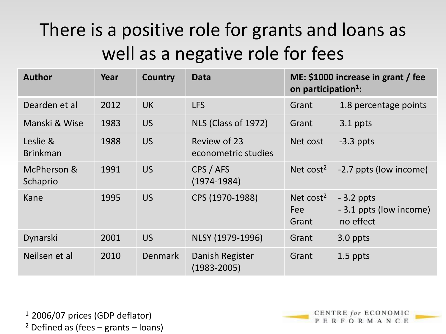### There is a positive role for grants and loans as well as a negative role for fees

| <b>Author</b>               | Year | Country        | Data                                | ME: \$1000 increase in grant / fee<br>on participation <sup>1</sup> : |                                                     |  |
|-----------------------------|------|----------------|-------------------------------------|-----------------------------------------------------------------------|-----------------------------------------------------|--|
| Dearden et al               | 2012 | <b>UK</b>      | <b>LFS</b>                          | Grant                                                                 | 1.8 percentage points                               |  |
| Manski & Wise               | 1983 | <b>US</b>      | NLS (Class of 1972)                 | Grant                                                                 | 3.1 ppts                                            |  |
| Leslie &<br><b>Brinkman</b> | 1988 | <b>US</b>      | Review of 23<br>econometric studies | Net cost                                                              | $-3.3$ ppts                                         |  |
| McPherson &<br>Schaprio     | 1991 | <b>US</b>      | CPS / AFS<br>$(1974 - 1984)$        | Net $cost2$                                                           | -2.7 ppts (low income)                              |  |
| Kane                        | 1995 | <b>US</b>      | CPS (1970-1988)                     | Net $cost2$<br>Fee<br>Grant                                           | $-3.2$ ppts<br>- 3.1 ppts (low income)<br>no effect |  |
| Dynarski                    | 2001 | <b>US</b>      | NLSY (1979-1996)                    | Grant                                                                 | 3.0 ppts                                            |  |
| Neilsen et al               | 2010 | <b>Denmark</b> | Danish Register<br>$(1983 - 2005)$  | Grant                                                                 | 1.5 ppts                                            |  |

 $12006/07$  prices (GDP deflator)  $2$  Defined as (fees – grants – loans)

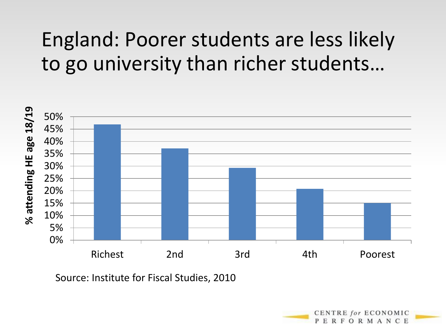## England: Poorer students are less likely to go university than richer students…



Source: Institute for Fiscal Studies, 2010

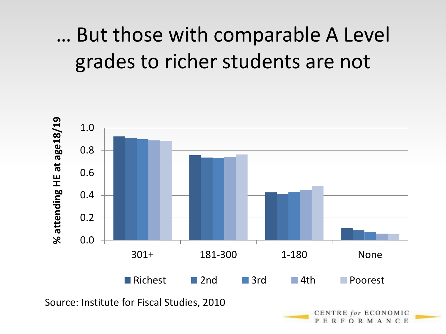## … But those with comparable A Level grades to richer students are not

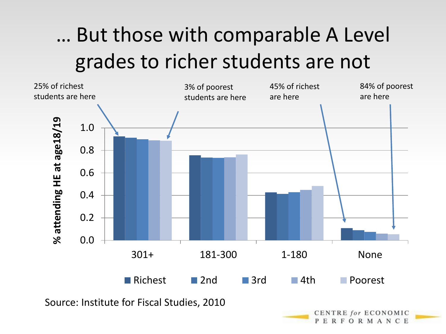# … But those with comparable A Level grades to richer students are not



ERFORMANCE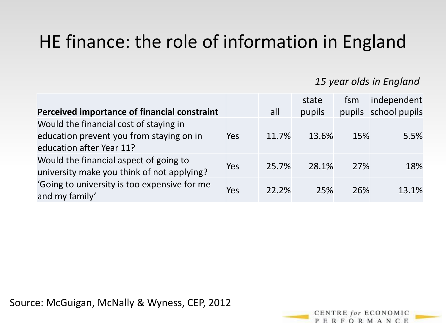## HE finance: the role of information in England

#### *15 year olds in England*

|                                              |     |       | state  | fsm | independent          |
|----------------------------------------------|-----|-------|--------|-----|----------------------|
| Perceived importance of financial constraint |     | all   | pupils |     | pupils school pupils |
| Would the financial cost of staying in       |     |       |        |     |                      |
| education prevent you from staying on in     | Yes | 11.7% | 13.6%  | 15% | 5.5%                 |
| education after Year 11?                     |     |       |        |     |                      |
| Would the financial aspect of going to       | Yes | 25.7% | 28.1%  | 27% | 18%                  |
| university make you think of not applying?   |     |       |        |     |                      |
| 'Going to university is too expensive for me | Yes | 22.2% | 25%    | 26% | 13.1%                |
| and my family'                               |     |       |        |     |                      |

Source: McGuigan, McNally & Wyness, CEP, 2012

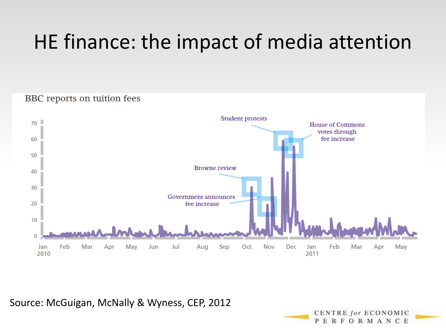# HE finance: the impact of media attention

#### BBC reports on tuition fees



Source: McGuigan, McNally & Wyness, CEP, 2012

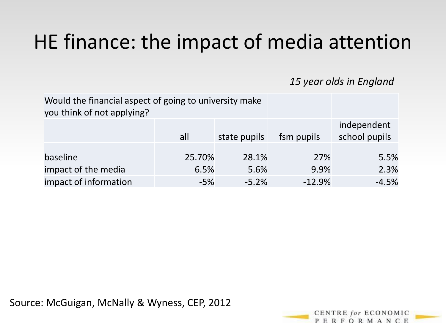# HE finance: the impact of media attention

*15 year olds in England*

| Would the financial aspect of going to university make<br>you think of not applying? |        |              |            |                              |
|--------------------------------------------------------------------------------------|--------|--------------|------------|------------------------------|
|                                                                                      | all    | state pupils | fsm pupils | independent<br>school pupils |
| baseline                                                                             | 25.70% | 28.1%        | 27%        | 5.5%                         |
| impact of the media                                                                  | 6.5%   | 5.6%         | 9.9%       | 2.3%                         |
| impact of information                                                                | $-5%$  | $-5.2%$      | $-12.9%$   | $-4.5%$                      |

Source: McGuigan, McNally & Wyness, CEP, 2012